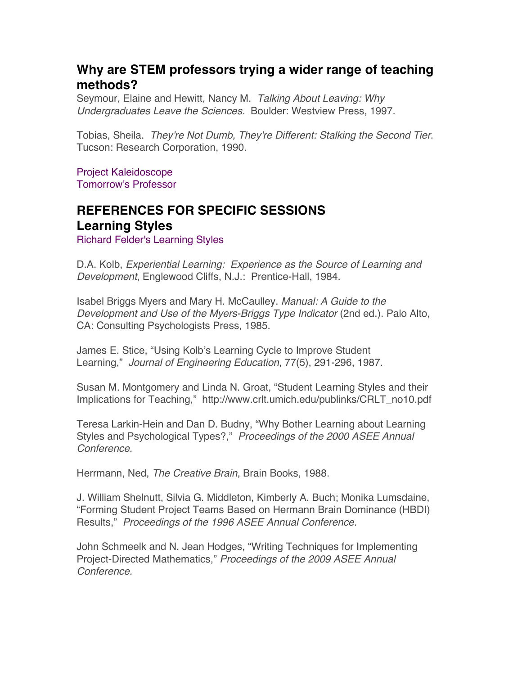## **Why are STEM professors trying a wider range of teaching methods?**

Seymour, Elaine and Hewitt, Nancy M. *Talking About Leaving: Why Undergraduates Leave the Sciences.* Boulder: Westview Press, 1997.

Tobias, Sheila. *They're Not Dumb, They're Different: Stalking the Second Tier*. Tucson: Research Corporation, 1990.

Project Kaleidoscope Tomorrow's Professor

# **REFERENCES FOR SPECIFIC SESSIONS Learning Styles**

Richard Felder's Learning Styles

D.A. Kolb, *Experiential Learning: Experience as the Source of Learning and Development*, Englewood Cliffs, N.J.: Prentice-Hall, 1984.

Isabel Briggs Myers and Mary H. McCaulley. *Manual: A Guide to the Development and Use of the Myers-Briggs Type Indicator* (2nd ed.). Palo Alto, CA: Consulting Psychologists Press, 1985.

James E. Stice, "Using Kolb's Learning Cycle to Improve Student Learning," *Journal of Engineering Education*, 77(5), 291-296, 1987.

Susan M. Montgomery and Linda N. Groat, "Student Learning Styles and their Implications for Teaching," http://www.crlt.umich.edu/publinks/CRLT\_no10.pdf

Teresa Larkin-Hein and Dan D. Budny, "Why Bother Learning about Learning Styles and Psychological Types?," *Proceedings of the 2000 ASEE Annual Conference.*

Herrmann, Ned, *The Creative Brain*, Brain Books, 1988.

J. William Shelnutt, Silvia G. Middleton, Kimberly A. Buch; Monika Lumsdaine, "Forming Student Project Teams Based on Hermann Brain Dominance (HBDI) Results," *Proceedings of the 1996 ASEE Annual Conference.*

John Schmeelk and N. Jean Hodges, "Writing Techniques for Implementing Project-Directed Mathematics," *Proceedings of the 2009 ASEE Annual Conference.*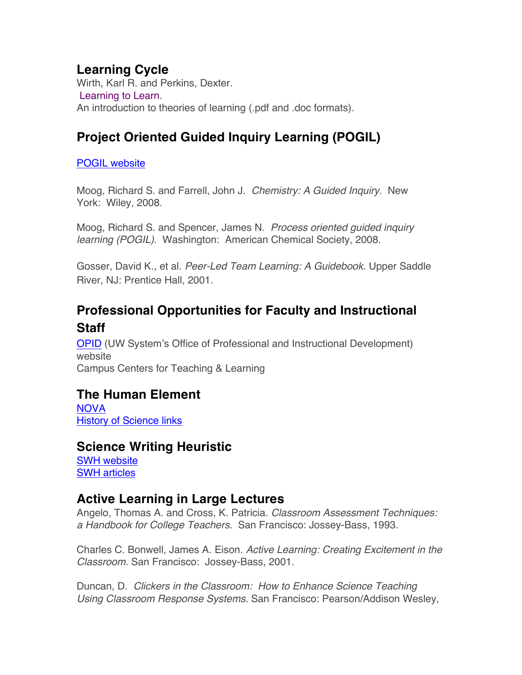### **Learning Cycle**

Wirth, Karl R. and Perkins, Dexter. Learning to Learn. An introduction to theories of learning (.pdf and .doc formats).

# **Project Oriented Guided Inquiry Learning (POGIL)**

POGIL website

Moog, Richard S. and Farrell, John J. *Chemistry: A Guided Inquiry*. New York: Wiley, 2008.

Moog, Richard S. and Spencer, James N. *Process oriented guided inquiry learning (POGIL)*. Washington: American Chemical Society, 2008.

Gosser, David K., et al. *Peer-Led Team Learning: A Guidebook.* Upper Saddle River, NJ: Prentice Hall, 2001.

# **Professional Opportunities for Faculty and Instructional Staff**

OPID (UW System's Office of Professional and Instructional Development) website Campus Centers for Teaching & Learning

## **The Human Element**

NOVA History of Science links

#### **Science Writing Heuristic**

SWH website SWH articles

#### **Active Learning in Large Lectures**

Angelo, Thomas A. and Cross, K. Patricia. *Classroom Assessment Techniques: a Handbook for College Teachers.* San Francisco: Jossey-Bass, 1993.

Charles C. Bonwell, James A. Eison. *Active Learning: Creating Excitement in the Classroom.* San Francisco: Jossey-Bass, 2001.

Duncan, D. *Clickers in the Classroom: How to Enhance Science Teaching Using Classroom Response Systems.* San Francisco: Pearson/Addison Wesley,